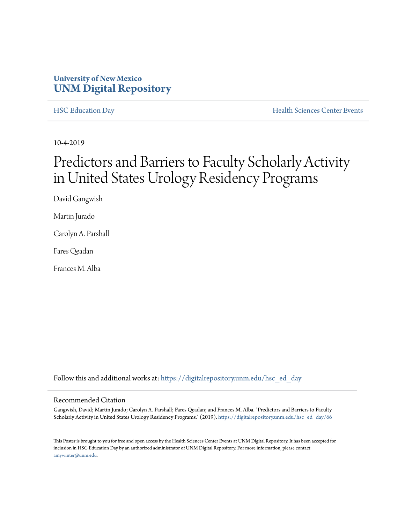## **University of New Mexico [UNM Digital Repository](https://digitalrepository.unm.edu/?utm_source=digitalrepository.unm.edu%2Fhsc_ed_day%2F66&utm_medium=PDF&utm_campaign=PDFCoverPages)**

[HSC Education Day](https://digitalrepository.unm.edu/hsc_ed_day?utm_source=digitalrepository.unm.edu%2Fhsc_ed_day%2F66&utm_medium=PDF&utm_campaign=PDFCoverPages) **[Health Sciences Center Events](https://digitalrepository.unm.edu/hsc_events?utm_source=digitalrepository.unm.edu%2Fhsc_ed_day%2F66&utm_medium=PDF&utm_campaign=PDFCoverPages)** 

10-4-2019

## Predictors and Barriers to Faculty Scholarly Activity in United States Urology Residency Programs

David Gangwish

Martin Jurado

Carolyn A. Parshall

Fares Qeadan

Frances M. Alba

Follow this and additional works at: [https://digitalrepository.unm.edu/hsc\\_ed\\_day](https://digitalrepository.unm.edu/hsc_ed_day?utm_source=digitalrepository.unm.edu%2Fhsc_ed_day%2F66&utm_medium=PDF&utm_campaign=PDFCoverPages)

## Recommended Citation

Gangwish, David; Martin Jurado; Carolyn A. Parshall; Fares Qeadan; and Frances M. Alba. "Predictors and Barriers to Faculty Scholarly Activity in United States Urology Residency Programs." (2019). [https://digitalrepository.unm.edu/hsc\\_ed\\_day/66](https://digitalrepository.unm.edu/hsc_ed_day/66?utm_source=digitalrepository.unm.edu%2Fhsc_ed_day%2F66&utm_medium=PDF&utm_campaign=PDFCoverPages)

This Poster is brought to you for free and open access by the Health Sciences Center Events at UNM Digital Repository. It has been accepted for inclusion in HSC Education Day by an authorized administrator of UNM Digital Repository. For more information, please contact [amywinter@unm.edu](mailto:amywinter@unm.edu).